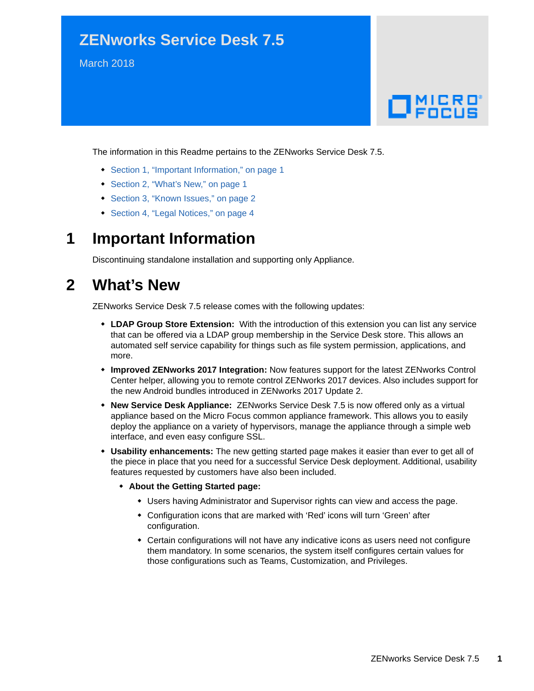# **ZENworks Service Desk 7.5**

March 2018

# $\Box$ MICRO'

The information in this Readme pertains to the ZENworks Service Desk 7.5.

- [Section 1, "Important Information," on page 1](#page-0-0)
- [Section 2, "What's New," on page 1](#page-0-1)
- [Section 3, "Known Issues," on page 2](#page-1-0)
- [Section 4, "Legal Notices," on page 4](#page-3-0)

## <span id="page-0-0"></span>**1 Important Information**

Discontinuing standalone installation and supporting only Appliance.

## <span id="page-0-1"></span>**2 What's New**

ZENworks Service Desk 7.5 release comes with the following updates:

- **LDAP Group Store Extension:** With the introduction of this extension you can list any service that can be offered via a LDAP group membership in the Service Desk store. This allows an automated self service capability for things such as file system permission, applications, and more.
- **Improved ZENworks 2017 Integration:** Now features support for the latest ZENworks Control Center helper, allowing you to remote control ZENworks 2017 devices. Also includes support for the new Android bundles introduced in ZENworks 2017 Update 2.
- **New Service Desk Appliance:** ZENworks Service Desk 7.5 is now offered only as a virtual appliance based on the Micro Focus common appliance framework. This allows you to easily deploy the appliance on a variety of hypervisors, manage the appliance through a simple web interface, and even easy configure SSL.
- **Usability enhancements:** The new getting started page makes it easier than ever to get all of the piece in place that you need for a successful Service Desk deployment. Additional, usability features requested by customers have also been included.
	- **About the Getting Started page:** 
		- Users having Administrator and Supervisor rights can view and access the page.
		- Configuration icons that are marked with 'Red' icons will turn 'Green' after configuration.
		- Certain configurations will not have any indicative icons as users need not configure them mandatory. In some scenarios, the system itself configures certain values for those configurations such as Teams, Customization, and Privileges.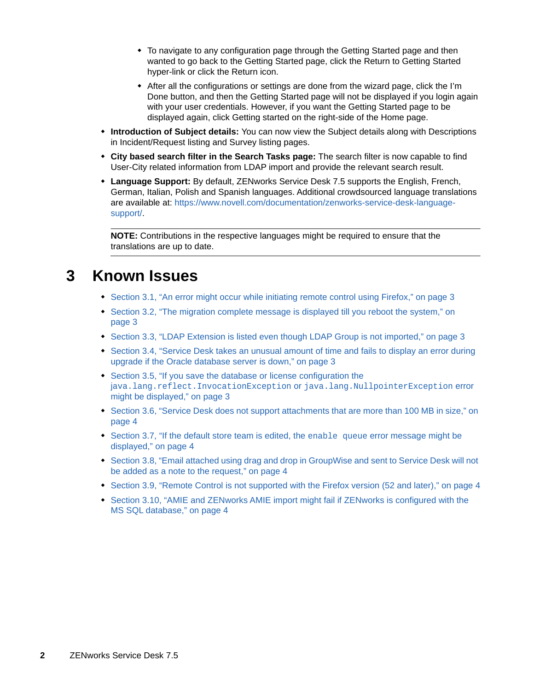- To navigate to any configuration page through the Getting Started page and then wanted to go back to the Getting Started page, click the Return to Getting Started hyper-link or click the Return icon.
- After all the configurations or settings are done from the wizard page, click the I'm Done button, and then the Getting Started page will not be displayed if you login again with your user credentials. However, if you want the Getting Started page to be displayed again, click Getting started on the right-side of the Home page.
- **Introduction of Subject details:** You can now view the Subject details along with Descriptions in Incident/Request listing and Survey listing pages.
- **City based search filter in the Search Tasks page:** The search filter is now capable to find User-City related information from LDAP import and provide the relevant search result.
- **Language Support:** By default, ZENworks Service Desk 7.5 supports the English, French, German, Italian, Polish and Spanish languages. Additional crowdsourced language translations are available at: [https://www.novell.com/documentation/zenworks-service-desk-language](https://www.novell.com/documentation/zenworks-service-desk-language-support/)[support/](https://www.novell.com/documentation/zenworks-service-desk-language-support/).

**NOTE:** Contributions in the respective languages might be required to ensure that the translations are up to date.

## <span id="page-1-0"></span>**3 Known Issues**

- [Section 3.1, "An error might occur while initiating remote control using Firefox," on page 3](#page-2-0)
- [Section 3.2, "The migration complete message is displayed till you reboot the system," on](#page-2-1)  [page 3](#page-2-1)
- [Section 3.3, "LDAP Extension is listed even though LDAP Group is not imported," on page 3](#page-2-2)
- Section 3.4, "Service Desk takes an unusual amount of time and fails to display an error during [upgrade if the Oracle database server is down," on page 3](#page-2-3)
- [Section 3.5, "If you save the database or license configuration the](#page-2-4)  j[ava.lang.reflect.InvocationException](#page-2-4) or java.lang.NullpointerException error [might be displayed," on page 3](#page-2-4)
- Section 3.6, "Service Desk does not support attachments that are more than 100 MB in size," on [page 4](#page-3-1)
- [Section 3.7, "If the default store team is edited, the](#page-3-3) enable queue error message might be [displayed," on page 4](#page-3-3)
- Section 3.8, "Email attached using drag and drop in GroupWise and sent to Service Desk will not [be added as a note to the request," on page 4](#page-3-4)
- [Section 3.9, "Remote Control is not supported with the Firefox version \(52 and later\)," on page 4](#page-3-5)
- [Section 3.10, "AMIE and ZENworks AMIE import might fail if ZENworks is configured with the](#page-3-2)  [MS SQL database," on page 4](#page-3-2)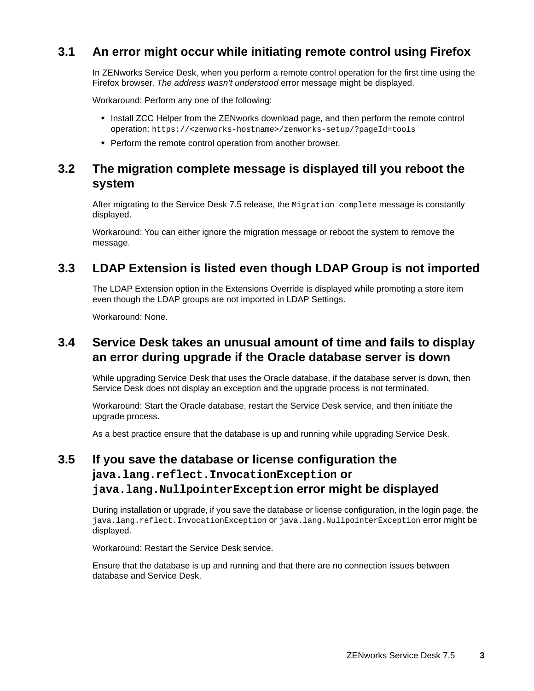## <span id="page-2-0"></span>**3.1 An error might occur while initiating remote control using Firefox**

In ZENworks Service Desk, when you perform a remote control operation for the first time using the Firefox browser, *The address wasn't understood* error message might be displayed.

Workaround: Perform any one of the following:

- Install ZCC Helper from the ZENworks download page, and then perform the remote control operation: https://<zenworks-hostname>/zenworks-setup/?pageId=tools
- Perform the remote control operation from another browser.

#### <span id="page-2-1"></span>**3.2 The migration complete message is displayed till you reboot the system**

After migrating to the Service Desk 7.5 release, the Migration complete message is constantly displayed.

Workaround: You can either ignore the migration message or reboot the system to remove the message.

#### <span id="page-2-2"></span>**3.3 LDAP Extension is listed even though LDAP Group is not imported**

The LDAP Extension option in the Extensions Override is displayed while promoting a store item even though the LDAP groups are not imported in LDAP Settings.

Workaround: None.

#### <span id="page-2-3"></span>**3.4 Service Desk takes an unusual amount of time and fails to display an error during upgrade if the Oracle database server is down**

While upgrading Service Desk that uses the Oracle database, if the database server is down, then Service Desk does not display an exception and the upgrade process is not terminated.

Workaround: Start the Oracle database, restart the Service Desk service, and then initiate the upgrade process.

As a best practice ensure that the database is up and running while upgrading Service Desk.

## <span id="page-2-4"></span>**3.5 If you save the database or license configuration the java.lang.reflect.InvocationException or java.lang.NullpointerException error might be displayed**

During installation or upgrade, if you save the database or license configuration, in the login page, the java.lang.reflect.InvocationException or java.lang.NullpointerException error might be displayed.

Workaround: Restart the Service Desk service.

Ensure that the database is up and running and that there are no connection issues between database and Service Desk.